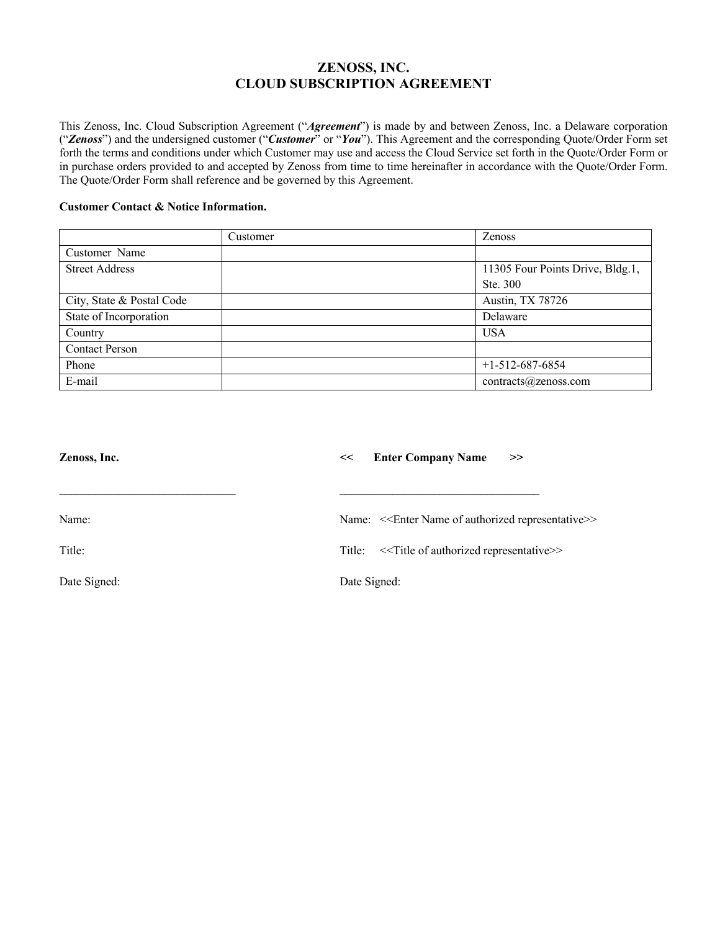# **ZENOSS, INC. CLOUD SUBSCRIPTION AGREEMENT**

This Zenoss, Inc. Cloud Subscription Agreement ("*Agreement*") is made by and between Zenoss, Inc. a Delaware corporation ("*Zenoss*") and the undersigned customer ("*Customer*" or "*You*"). This Agreement and the corresponding Quote/Order Form set forth the terms and conditions under which Customer may use and access the Cloud Service set forth in the Quote/Order Form or in purchase orders provided to and accepted by Zenoss from time to time hereinafter in accordance with the Quote/Order Form. The Quote/Order Form shall reference and be governed by this Agreement.

# **Customer Contact & Notice Information.**

|                           | Customer | <b>Zenoss</b>                    |
|---------------------------|----------|----------------------------------|
| Customer Name             |          |                                  |
| <b>Street Address</b>     |          | 11305 Four Points Drive, Bldg.1, |
|                           |          | Ste. 300                         |
| City, State & Postal Code |          | Austin, TX 78726                 |
| State of Incorporation    |          | Delaware                         |
| Country                   |          | <b>USA</b>                       |
| <b>Contact Person</b>     |          |                                  |
| Phone                     |          | $+1-512-687-6854$                |
| E-mail                    |          | contracts@zensors.com            |

| <b>Enter Company Name</b><br><<<br>>>                                     |
|---------------------------------------------------------------------------|
| Name: < <enter authorized="" name="" of="" representative="">&gt;</enter> |
| Title: << Title of authorized representative>>                            |
| Date Signed:                                                              |
|                                                                           |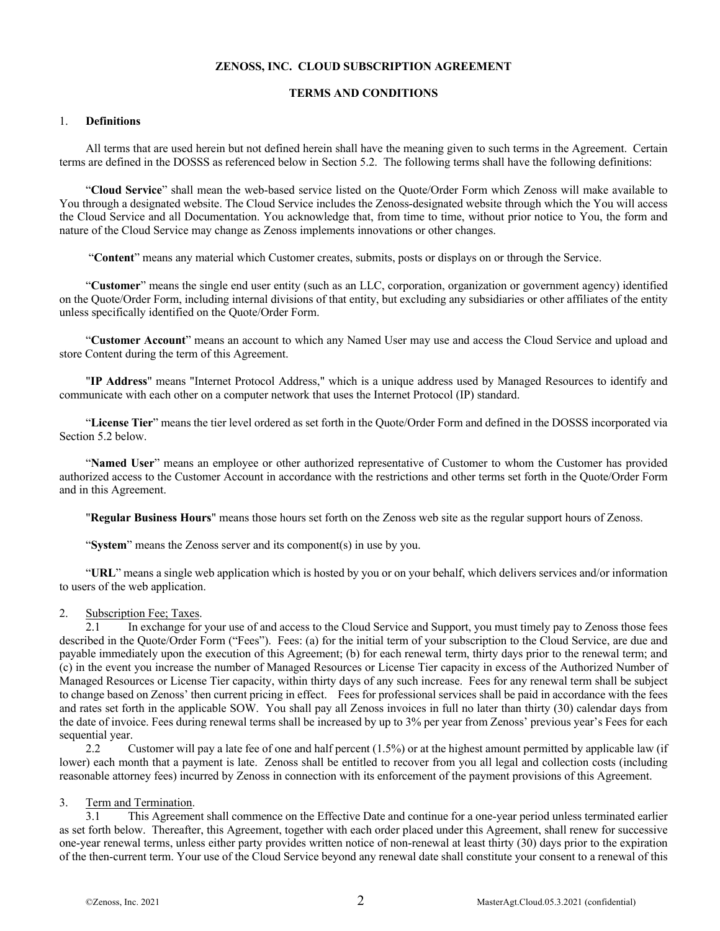## **ZENOSS, INC. CLOUD SUBSCRIPTION AGREEMENT**

### **TERMS AND CONDITIONS**

#### 1. **Definitions**

All terms that are used herein but not defined herein shall have the meaning given to such terms in the Agreement. Certain terms are defined in the DOSSS as referenced below in Section 5.2. The following terms shall have the following definitions:

"**Cloud Service**" shall mean the web-based service listed on the Quote/Order Form which Zenoss will make available to You through a designated website. The Cloud Service includes the Zenoss-designated website through which the You will access the Cloud Service and all Documentation. You acknowledge that, from time to time, without prior notice to You, the form and nature of the Cloud Service may change as Zenoss implements innovations or other changes.

"**Content**" means any material which Customer creates, submits, posts or displays on or through the Service.

"**Customer**" means the single end user entity (such as an LLC, corporation, organization or government agency) identified on the Quote/Order Form, including internal divisions of that entity, but excluding any subsidiaries or other affiliates of the entity unless specifically identified on the Quote/Order Form.

"**Customer Account**" means an account to which any Named User may use and access the Cloud Service and upload and store Content during the term of this Agreement.

"**IP Address**" means "Internet Protocol Address," which is a unique address used by Managed Resources to identify and communicate with each other on a computer network that uses the Internet Protocol (IP) standard.

"**License Tier**" means the tier level ordered as set forth in the Quote/Order Form and defined in the DOSSS incorporated via Section 5.2 below.

"**Named User**" means an employee or other authorized representative of Customer to whom the Customer has provided authorized access to the Customer Account in accordance with the restrictions and other terms set forth in the Quote/Order Form and in this Agreement.

"**Regular Business Hours**" means those hours set forth on the Zenoss web site as the regular support hours of Zenoss.

"System" means the Zenoss server and its component(s) in use by you.

"**URL**" means a single web application which is hosted by you or on your behalf, which delivers services and/or information to users of the web application.

## 2. Subscription Fee; Taxes.

2.1 In exchange for your use of and access to the Cloud Service and Support, you must timely pay to Zenoss those fees described in the Quote/Order Form ("Fees"). Fees: (a) for the initial term of your subscription to the Cloud Service, are due and payable immediately upon the execution of this Agreement; (b) for each renewal term, thirty days prior to the renewal term; and (c) in the event you increase the number of Managed Resources or License Tier capacity in excess of the Authorized Number of Managed Resources or License Tier capacity, within thirty days of any such increase. Fees for any renewal term shall be subject to change based on Zenoss' then current pricing in effect. Fees for professional services shall be paid in accordance with the fees and rates set forth in the applicable SOW. You shall pay all Zenoss invoices in full no later than thirty (30) calendar days from the date of invoice. Fees during renewal terms shall be increased by up to 3% per year from Zenoss' previous year's Fees for each sequential year.

2.2 Customer will pay a late fee of one and half percent (1.5%) or at the highest amount permitted by applicable law (if lower) each month that a payment is late. Zenoss shall be entitled to recover from you all legal and collection costs (including reasonable attorney fees) incurred by Zenoss in connection with its enforcement of the payment provisions of this Agreement.

#### 3. Term and Termination.

3.1 This Agreement shall commence on the Effective Date and continue for a one-year period unless terminated earlier as set forth below. Thereafter, this Agreement, together with each order placed under this Agreement, shall renew for successive one-year renewal terms, unless either party provides written notice of non-renewal at least thirty (30) days prior to the expiration of the then-current term. Your use of the Cloud Service beyond any renewal date shall constitute your consent to a renewal of this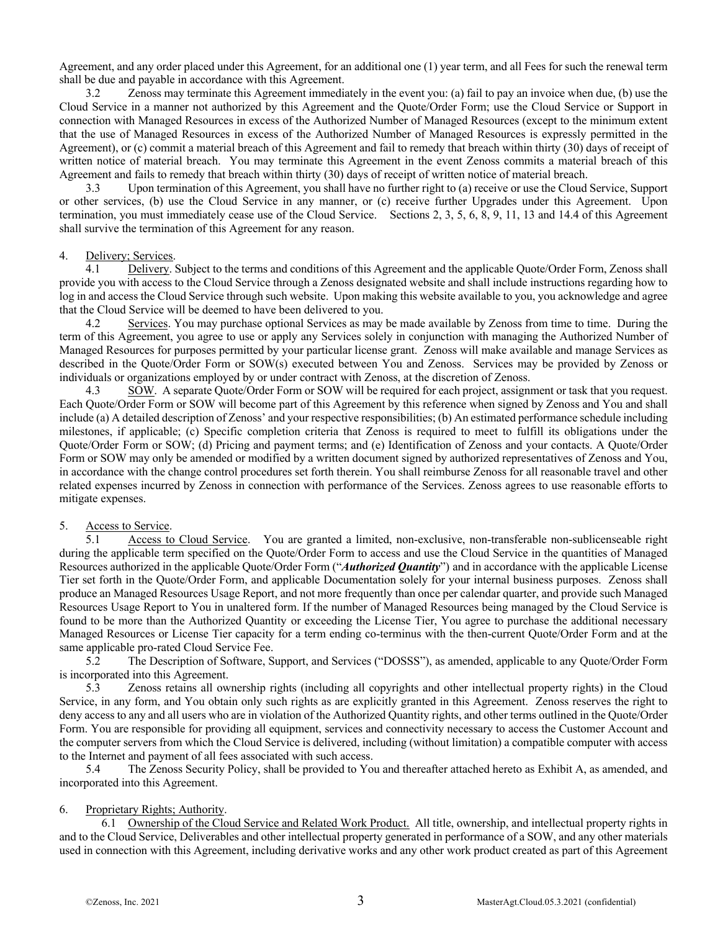Agreement, and any order placed under this Agreement, for an additional one (1) year term, and all Fees for such the renewal term shall be due and payable in accordance with this Agreement.

3.2 Zenoss may terminate this Agreement immediately in the event you: (a) fail to pay an invoice when due, (b) use the Cloud Service in a manner not authorized by this Agreement and the Quote/Order Form; use the Cloud Service or Support in connection with Managed Resources in excess of the Authorized Number of Managed Resources (except to the minimum extent that the use of Managed Resources in excess of the Authorized Number of Managed Resources is expressly permitted in the Agreement), or (c) commit a material breach of this Agreement and fail to remedy that breach within thirty (30) days of receipt of written notice of material breach. You may terminate this Agreement in the event Zenoss commits a material breach of this Agreement and fails to remedy that breach within thirty (30) days of receipt of written notice of material breach.

3.3 Upon termination of this Agreement, you shall have no further right to (a) receive or use the Cloud Service, Support or other services, (b) use the Cloud Service in any manner, or (c) receive further Upgrades under this Agreement. Upon termination, you must immediately cease use of the Cloud Service. Sections 2, 3, 5, 6, 8, 9, 11, 13 and 14.4 of this Agreement shall survive the termination of this Agreement for any reason.

### 4. Delivery; Services.

4.1 Delivery. Subject to the terms and conditions of this Agreement and the applicable Quote/Order Form, Zenoss shall provide you with access to the Cloud Service through a Zenoss designated website and shall include instructions regarding how to log in and access the Cloud Service through such website. Upon making this website available to you, you acknowledge and agree that the Cloud Service will be deemed to have been delivered to you.

4.2 Services. You may purchase optional Services as may be made available by Zenoss from time to time. During the term of this Agreement, you agree to use or apply any Services solely in conjunction with managing the Authorized Number of Managed Resources for purposes permitted by your particular license grant. Zenoss will make available and manage Services as described in the Quote/Order Form or SOW(s) executed between You and Zenoss. Services may be provided by Zenoss or individuals or organizations employed by or under contract with Zenoss, at the discretion of Zenoss.

4.3 SOW. A separate Quote/Order Form or SOW will be required for each project, assignment or task that you request. Each Quote/Order Form or SOW will become part of this Agreement by this reference when signed by Zenoss and You and shall include (a) A detailed description of Zenoss' and your respective responsibilities; (b) An estimated performance schedule including milestones, if applicable; (c) Specific completion criteria that Zenoss is required to meet to fulfill its obligations under the Quote/Order Form or SOW; (d) Pricing and payment terms; and (e) Identification of Zenoss and your contacts. A Quote/Order Form or SOW may only be amended or modified by a written document signed by authorized representatives of Zenoss and You, in accordance with the change control procedures set forth therein. You shall reimburse Zenoss for all reasonable travel and other related expenses incurred by Zenoss in connection with performance of the Services. Zenoss agrees to use reasonable efforts to mitigate expenses.

### 5. Access to Service.

5.1 Access to Cloud Service.You are granted a limited, non-exclusive, non-transferable non-sublicenseable right during the applicable term specified on the Quote/Order Form to access and use the Cloud Service in the quantities of Managed Resources authorized in the applicable Quote/Order Form ("*Authorized Quantity*") and in accordance with the applicable License Tier set forth in the Quote/Order Form, and applicable Documentation solely for your internal business purposes. Zenoss shall produce an Managed Resources Usage Report, and not more frequently than once per calendar quarter, and provide such Managed Resources Usage Report to You in unaltered form. If the number of Managed Resources being managed by the Cloud Service is found to be more than the Authorized Quantity or exceeding the License Tier, You agree to purchase the additional necessary Managed Resources or License Tier capacity for a term ending co-terminus with the then-current Quote/Order Form and at the same applicable pro-rated Cloud Service Fee.

5.2 The Description of Software, Support, and Services ("DOSSS"), as amended, applicable to any Quote/Order Form is incorporated into this Agreement.

5.3 Zenoss retains all ownership rights (including all copyrights and other intellectual property rights) in the Cloud Service, in any form, and You obtain only such rights as are explicitly granted in this Agreement. Zenoss reserves the right to deny access to any and all users who are in violation of the Authorized Quantity rights, and other terms outlined in the Quote/Order Form. You are responsible for providing all equipment, services and connectivity necessary to access the Customer Account and the computer servers from which the Cloud Service is delivered, including (without limitation) a compatible computer with access to the Internet and payment of all fees associated with such access.

5.4 The Zenoss Security Policy, shall be provided to You and thereafter attached hereto as Exhibit A, as amended, and incorporated into this Agreement.

### 6. Proprietary Rights; Authority.

6.1 Ownership of the Cloud Service and Related Work Product. All title, ownership, and intellectual property rights in and to the Cloud Service, Deliverables and other intellectual property generated in performance of a SOW, and any other materials used in connection with this Agreement, including derivative works and any other work product created as part of this Agreement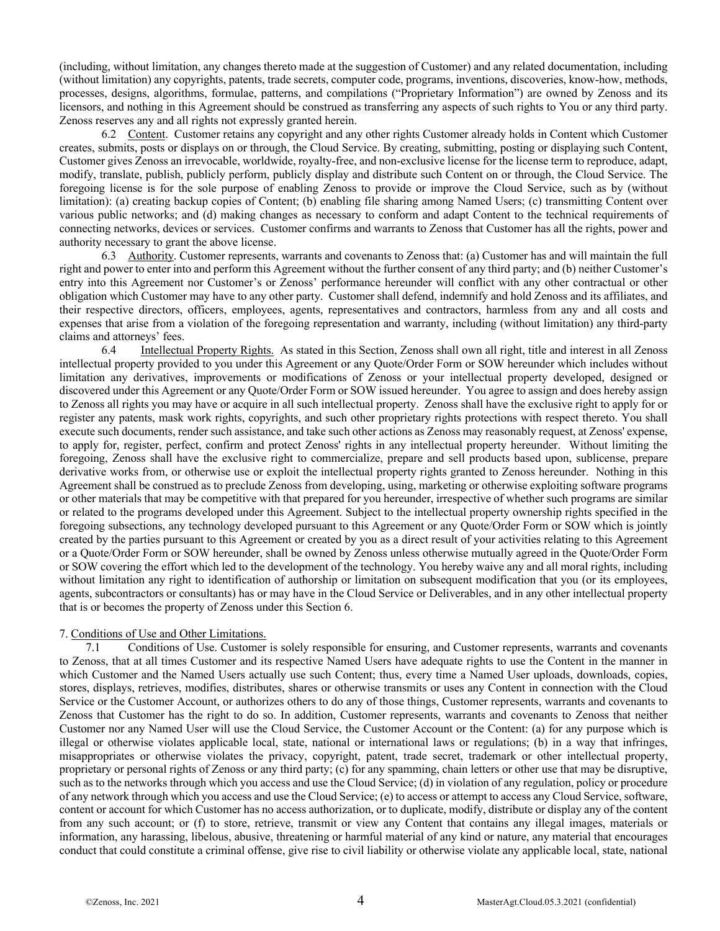(including, without limitation, any changes thereto made at the suggestion of Customer) and any related documentation, including (without limitation) any copyrights, patents, trade secrets, computer code, programs, inventions, discoveries, know-how, methods, processes, designs, algorithms, formulae, patterns, and compilations ("Proprietary Information") are owned by Zenoss and its licensors, and nothing in this Agreement should be construed as transferring any aspects of such rights to You or any third party. Zenoss reserves any and all rights not expressly granted herein.

6.2 Content. Customer retains any copyright and any other rights Customer already holds in Content which Customer creates, submits, posts or displays on or through, the Cloud Service. By creating, submitting, posting or displaying such Content, Customer gives Zenoss an irrevocable, worldwide, royalty-free, and non-exclusive license for the license term to reproduce, adapt, modify, translate, publish, publicly perform, publicly display and distribute such Content on or through, the Cloud Service. The foregoing license is for the sole purpose of enabling Zenoss to provide or improve the Cloud Service, such as by (without limitation): (a) creating backup copies of Content; (b) enabling file sharing among Named Users; (c) transmitting Content over various public networks; and (d) making changes as necessary to conform and adapt Content to the technical requirements of connecting networks, devices or services. Customer confirms and warrants to Zenoss that Customer has all the rights, power and authority necessary to grant the above license.

6.3 Authority. Customer represents, warrants and covenants to Zenoss that: (a) Customer has and will maintain the full right and power to enter into and perform this Agreement without the further consent of any third party; and (b) neither Customer's entry into this Agreement nor Customer's or Zenoss' performance hereunder will conflict with any other contractual or other obligation which Customer may have to any other party. Customer shall defend, indemnify and hold Zenoss and its affiliates, and their respective directors, officers, employees, agents, representatives and contractors, harmless from any and all costs and expenses that arise from a violation of the foregoing representation and warranty, including (without limitation) any third-party claims and attorneys' fees.

6.4 Intellectual Property Rights. As stated in this Section, Zenoss shall own all right, title and interest in all Zenoss intellectual property provided to you under this Agreement or any Quote/Order Form or SOW hereunder which includes without limitation any derivatives, improvements or modifications of Zenoss or your intellectual property developed, designed or discovered under this Agreement or any Quote/Order Form or SOW issued hereunder. You agree to assign and does hereby assign to Zenoss all rights you may have or acquire in all such intellectual property. Zenoss shall have the exclusive right to apply for or register any patents, mask work rights, copyrights, and such other proprietary rights protections with respect thereto. You shall execute such documents, render such assistance, and take such other actions as Zenoss may reasonably request, at Zenoss' expense, to apply for, register, perfect, confirm and protect Zenoss' rights in any intellectual property hereunder. Without limiting the foregoing, Zenoss shall have the exclusive right to commercialize, prepare and sell products based upon, sublicense, prepare derivative works from, or otherwise use or exploit the intellectual property rights granted to Zenoss hereunder. Nothing in this Agreement shall be construed as to preclude Zenoss from developing, using, marketing or otherwise exploiting software programs or other materials that may be competitive with that prepared for you hereunder, irrespective of whether such programs are similar or related to the programs developed under this Agreement. Subject to the intellectual property ownership rights specified in the foregoing subsections, any technology developed pursuant to this Agreement or any Quote/Order Form or SOW which is jointly created by the parties pursuant to this Agreement or created by you as a direct result of your activities relating to this Agreement or a Quote/Order Form or SOW hereunder, shall be owned by Zenoss unless otherwise mutually agreed in the Quote/Order Form or SOW covering the effort which led to the development of the technology. You hereby waive any and all moral rights, including without limitation any right to identification of authorship or limitation on subsequent modification that you (or its employees, agents, subcontractors or consultants) has or may have in the Cloud Service or Deliverables, and in any other intellectual property that is or becomes the property of Zenoss under this Section 6.

## 7. Conditions of Use and Other Limitations.

7.1 Conditions of Use. Customer is solely responsible for ensuring, and Customer represents, warrants and covenants to Zenoss, that at all times Customer and its respective Named Users have adequate rights to use the Content in the manner in which Customer and the Named Users actually use such Content; thus, every time a Named User uploads, downloads, copies, stores, displays, retrieves, modifies, distributes, shares or otherwise transmits or uses any Content in connection with the Cloud Service or the Customer Account, or authorizes others to do any of those things, Customer represents, warrants and covenants to Zenoss that Customer has the right to do so. In addition, Customer represents, warrants and covenants to Zenoss that neither Customer nor any Named User will use the Cloud Service, the Customer Account or the Content: (a) for any purpose which is illegal or otherwise violates applicable local, state, national or international laws or regulations; (b) in a way that infringes, misappropriates or otherwise violates the privacy, copyright, patent, trade secret, trademark or other intellectual property, proprietary or personal rights of Zenoss or any third party; (c) for any spamming, chain letters or other use that may be disruptive, such as to the networks through which you access and use the Cloud Service; (d) in violation of any regulation, policy or procedure of any network through which you access and use the Cloud Service; (e) to access or attempt to access any Cloud Service, software, content or account for which Customer has no access authorization, or to duplicate, modify, distribute or display any of the content from any such account; or (f) to store, retrieve, transmit or view any Content that contains any illegal images, materials or information, any harassing, libelous, abusive, threatening or harmful material of any kind or nature, any material that encourages conduct that could constitute a criminal offense, give rise to civil liability or otherwise violate any applicable local, state, national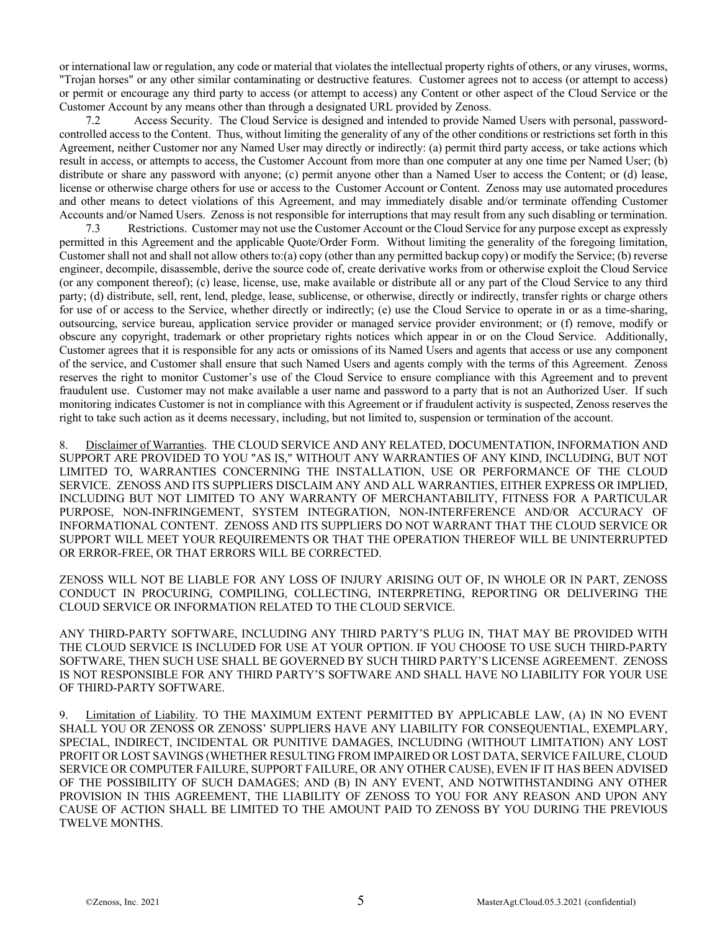or international law or regulation, any code or material that violates the intellectual property rights of others, or any viruses, worms, "Trojan horses" or any other similar contaminating or destructive features. Customer agrees not to access (or attempt to access) or permit or encourage any third party to access (or attempt to access) any Content or other aspect of the Cloud Service or the Customer Account by any means other than through a designated URL provided by Zenoss.

7.2 Access Security. The Cloud Service is designed and intended to provide Named Users with personal, passwordcontrolled access to the Content. Thus, without limiting the generality of any of the other conditions or restrictions set forth in this Agreement, neither Customer nor any Named User may directly or indirectly: (a) permit third party access, or take actions which result in access, or attempts to access, the Customer Account from more than one computer at any one time per Named User; (b) distribute or share any password with anyone; (c) permit anyone other than a Named User to access the Content; or (d) lease, license or otherwise charge others for use or access to the Customer Account or Content. Zenoss may use automated procedures and other means to detect violations of this Agreement, and may immediately disable and/or terminate offending Customer Accounts and/or Named Users. Zenoss is not responsible for interruptions that may result from any such disabling or termination.

7.3 Restrictions. Customer may not use the Customer Account or the Cloud Service for any purpose except as expressly permitted in this Agreement and the applicable Quote/Order Form. Without limiting the generality of the foregoing limitation, Customer shall not and shall not allow others to:(a) copy (other than any permitted backup copy) or modify the Service; (b) reverse engineer, decompile, disassemble, derive the source code of, create derivative works from or otherwise exploit the Cloud Service (or any component thereof); (c) lease, license, use, make available or distribute all or any part of the Cloud Service to any third party; (d) distribute, sell, rent, lend, pledge, lease, sublicense, or otherwise, directly or indirectly, transfer rights or charge others for use of or access to the Service, whether directly or indirectly; (e) use the Cloud Service to operate in or as a time-sharing, outsourcing, service bureau, application service provider or managed service provider environment; or (f) remove, modify or obscure any copyright, trademark or other proprietary rights notices which appear in or on the Cloud Service. Additionally, Customer agrees that it is responsible for any acts or omissions of its Named Users and agents that access or use any component of the service, and Customer shall ensure that such Named Users and agents comply with the terms of this Agreement. Zenoss reserves the right to monitor Customer's use of the Cloud Service to ensure compliance with this Agreement and to prevent fraudulent use. Customer may not make available a user name and password to a party that is not an Authorized User. If such monitoring indicates Customer is not in compliance with this Agreement or if fraudulent activity is suspected, Zenoss reserves the right to take such action as it deems necessary, including, but not limited to, suspension or termination of the account.

8. Disclaimer of Warranties. THE CLOUD SERVICE AND ANY RELATED, DOCUMENTATION, INFORMATION AND SUPPORT ARE PROVIDED TO YOU "AS IS," WITHOUT ANY WARRANTIES OF ANY KIND, INCLUDING, BUT NOT LIMITED TO, WARRANTIES CONCERNING THE INSTALLATION, USE OR PERFORMANCE OF THE CLOUD SERVICE. ZENOSS AND ITS SUPPLIERS DISCLAIM ANY AND ALL WARRANTIES, EITHER EXPRESS OR IMPLIED, INCLUDING BUT NOT LIMITED TO ANY WARRANTY OF MERCHANTABILITY, FITNESS FOR A PARTICULAR PURPOSE, NON-INFRINGEMENT, SYSTEM INTEGRATION, NON-INTERFERENCE AND/OR ACCURACY OF INFORMATIONAL CONTENT. ZENOSS AND ITS SUPPLIERS DO NOT WARRANT THAT THE CLOUD SERVICE OR SUPPORT WILL MEET YOUR REQUIREMENTS OR THAT THE OPERATION THEREOF WILL BE UNINTERRUPTED OR ERROR-FREE, OR THAT ERRORS WILL BE CORRECTED.

ZENOSS WILL NOT BE LIABLE FOR ANY LOSS OF INJURY ARISING OUT OF, IN WHOLE OR IN PART, ZENOSS CONDUCT IN PROCURING, COMPILING, COLLECTING, INTERPRETING, REPORTING OR DELIVERING THE CLOUD SERVICE OR INFORMATION RELATED TO THE CLOUD SERVICE.

ANY THIRD-PARTY SOFTWARE, INCLUDING ANY THIRD PARTY'S PLUG IN, THAT MAY BE PROVIDED WITH THE CLOUD SERVICE IS INCLUDED FOR USE AT YOUR OPTION. IF YOU CHOOSE TO USE SUCH THIRD-PARTY SOFTWARE, THEN SUCH USE SHALL BE GOVERNED BY SUCH THIRD PARTY'S LICENSE AGREEMENT. ZENOSS IS NOT RESPONSIBLE FOR ANY THIRD PARTY'S SOFTWARE AND SHALL HAVE NO LIABILITY FOR YOUR USE OF THIRD-PARTY SOFTWARE.

9. Limitation of Liability. TO THE MAXIMUM EXTENT PERMITTED BY APPLICABLE LAW, (A) IN NO EVENT SHALL YOU OR ZENOSS OR ZENOSS' SUPPLIERS HAVE ANY LIABILITY FOR CONSEQUENTIAL, EXEMPLARY, SPECIAL, INDIRECT, INCIDENTAL OR PUNITIVE DAMAGES, INCLUDING (WITHOUT LIMITATION) ANY LOST PROFIT OR LOST SAVINGS (WHETHER RESULTING FROM IMPAIRED OR LOST DATA, SERVICE FAILURE, CLOUD SERVICE OR COMPUTER FAILURE, SUPPORT FAILURE, OR ANY OTHER CAUSE), EVEN IF IT HAS BEEN ADVISED OF THE POSSIBILITY OF SUCH DAMAGES; AND (B) IN ANY EVENT, AND NOTWITHSTANDING ANY OTHER PROVISION IN THIS AGREEMENT, THE LIABILITY OF ZENOSS TO YOU FOR ANY REASON AND UPON ANY CAUSE OF ACTION SHALL BE LIMITED TO THE AMOUNT PAID TO ZENOSS BY YOU DURING THE PREVIOUS TWELVE MONTHS.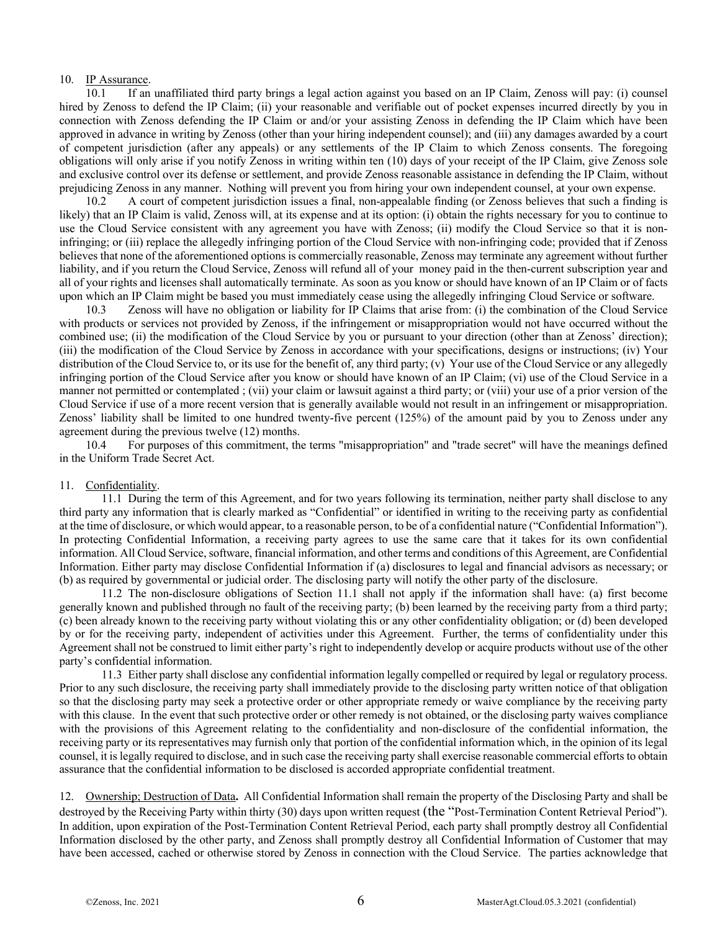## 10. IP Assurance.

10.1 If an unaffiliated third party brings a legal action against you based on an IP Claim, Zenoss will pay: (i) counsel hired by Zenoss to defend the IP Claim; (ii) your reasonable and verifiable out of pocket expenses incurred directly by you in connection with Zenoss defending the IP Claim or and/or your assisting Zenoss in defending the IP Claim which have been approved in advance in writing by Zenoss (other than your hiring independent counsel); and (iii) any damages awarded by a court of competent jurisdiction (after any appeals) or any settlements of the IP Claim to which Zenoss consents. The foregoing obligations will only arise if you notify Zenoss in writing within ten (10) days of your receipt of the IP Claim, give Zenoss sole and exclusive control over its defense or settlement, and provide Zenoss reasonable assistance in defending the IP Claim, without prejudicing Zenoss in any manner. Nothing will prevent you from hiring your own independent counsel, at your own expense.

10.2 A court of competent jurisdiction issues a final, non-appealable finding (or Zenoss believes that such a finding is likely) that an IP Claim is valid, Zenoss will, at its expense and at its option: (i) obtain the rights necessary for you to continue to use the Cloud Service consistent with any agreement you have with Zenoss; (ii) modify the Cloud Service so that it is noninfringing; or (iii) replace the allegedly infringing portion of the Cloud Service with non-infringing code; provided that if Zenoss believes that none of the aforementioned options is commercially reasonable, Zenoss may terminate any agreement without further liability, and if you return the Cloud Service, Zenoss will refund all of your money paid in the then-current subscription year and all of your rights and licenses shall automatically terminate. As soon as you know or should have known of an IP Claim or of facts upon which an IP Claim might be based you must immediately cease using the allegedly infringing Cloud Service or software.

10.3 Zenoss will have no obligation or liability for IP Claims that arise from: (i) the combination of the Cloud Service with products or services not provided by Zenoss, if the infringement or misappropriation would not have occurred without the combined use; (ii) the modification of the Cloud Service by you or pursuant to your direction (other than at Zenoss' direction); (iii) the modification of the Cloud Service by Zenoss in accordance with your specifications, designs or instructions; (iv) Your distribution of the Cloud Service to, or its use for the benefit of, any third party; (v) Your use of the Cloud Service or any allegedly infringing portion of the Cloud Service after you know or should have known of an IP Claim; (vi) use of the Cloud Service in a manner not permitted or contemplated ; (vii) your claim or lawsuit against a third party; or (viii) your use of a prior version of the Cloud Service if use of a more recent version that is generally available would not result in an infringement or misappropriation. Zenoss' liability shall be limited to one hundred twenty-five percent (125%) of the amount paid by you to Zenoss under any agreement during the previous twelve (12) months.

10.4 For purposes of this commitment, the terms "misappropriation" and "trade secret" will have the meanings defined in the Uniform Trade Secret Act.

### 11. Confidentiality.

11.1 During the term of this Agreement, and for two years following its termination, neither party shall disclose to any third party any information that is clearly marked as "Confidential" or identified in writing to the receiving party as confidential at the time of disclosure, or which would appear, to a reasonable person, to be of a confidential nature ("Confidential Information"). In protecting Confidential Information, a receiving party agrees to use the same care that it takes for its own confidential information. All Cloud Service, software, financial information, and other terms and conditions of this Agreement, are Confidential Information. Either party may disclose Confidential Information if (a) disclosures to legal and financial advisors as necessary; or (b) as required by governmental or judicial order. The disclosing party will notify the other party of the disclosure.

11.2 The non-disclosure obligations of Section 11.1 shall not apply if the information shall have: (a) first become generally known and published through no fault of the receiving party; (b) been learned by the receiving party from a third party; (c) been already known to the receiving party without violating this or any other confidentiality obligation; or (d) been developed by or for the receiving party, independent of activities under this Agreement. Further, the terms of confidentiality under this Agreement shall not be construed to limit either party's right to independently develop or acquire products without use of the other party's confidential information.

11.3 Either party shall disclose any confidential information legally compelled or required by legal or regulatory process. Prior to any such disclosure, the receiving party shall immediately provide to the disclosing party written notice of that obligation so that the disclosing party may seek a protective order or other appropriate remedy or waive compliance by the receiving party with this clause. In the event that such protective order or other remedy is not obtained, or the disclosing party waives compliance with the provisions of this Agreement relating to the confidentiality and non-disclosure of the confidential information, the receiving party or its representatives may furnish only that portion of the confidential information which, in the opinion of its legal counsel, it is legally required to disclose, and in such case the receiving party shall exercise reasonable commercial efforts to obtain assurance that the confidential information to be disclosed is accorded appropriate confidential treatment.

12. Ownership; Destruction of Data**.** All Confidential Information shall remain the property of the Disclosing Party and shall be destroyed by the Receiving Party within thirty (30) days upon written request (the "Post-Termination Content Retrieval Period"). In addition, upon expiration of the Post-Termination Content Retrieval Period, each party shall promptly destroy all Confidential Information disclosed by the other party, and Zenoss shall promptly destroy all Confidential Information of Customer that may have been accessed, cached or otherwise stored by Zenoss in connection with the Cloud Service. The parties acknowledge that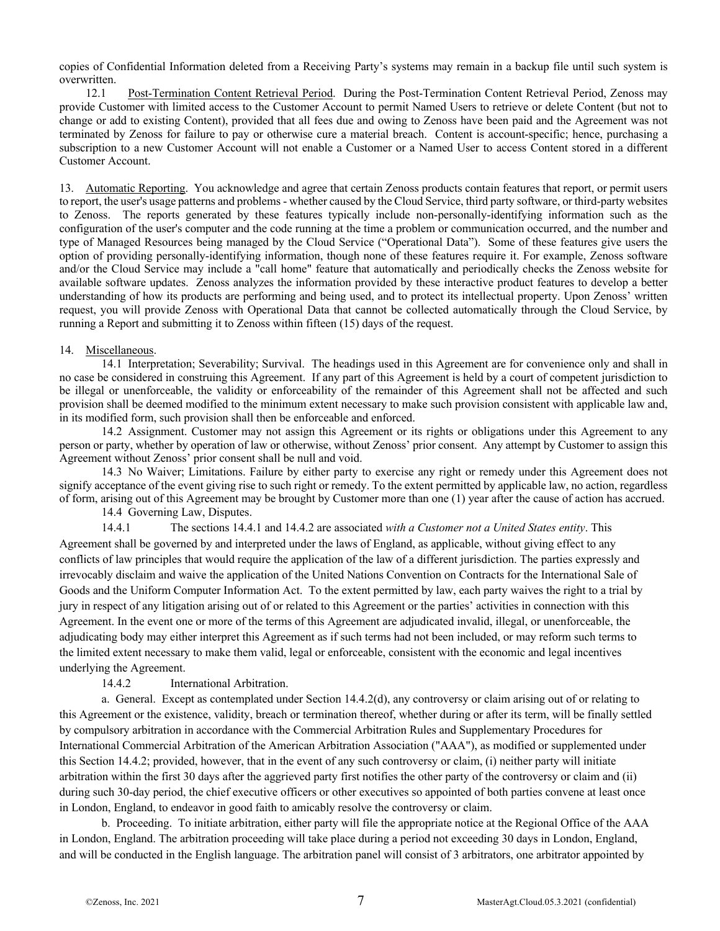copies of Confidential Information deleted from a Receiving Party's systems may remain in a backup file until such system is overwritten.

12.1 Post-Termination Content Retrieval Period. During the Post-Termination Content Retrieval Period, Zenoss may provide Customer with limited access to the Customer Account to permit Named Users to retrieve or delete Content (but not to change or add to existing Content), provided that all fees due and owing to Zenoss have been paid and the Agreement was not terminated by Zenoss for failure to pay or otherwise cure a material breach. Content is account-specific; hence, purchasing a subscription to a new Customer Account will not enable a Customer or a Named User to access Content stored in a different Customer Account.

13. Automatic Reporting. You acknowledge and agree that certain Zenoss products contain features that report, or permit users to report, the user's usage patterns and problems - whether caused by the Cloud Service, third party software, or third-party websites to Zenoss. The reports generated by these features typically include non-personally-identifying information such as the configuration of the user's computer and the code running at the time a problem or communication occurred, and the number and type of Managed Resources being managed by the Cloud Service ("Operational Data"). Some of these features give users the option of providing personally-identifying information, though none of these features require it. For example, Zenoss software and/or the Cloud Service may include a "call home" feature that automatically and periodically checks the Zenoss website for available software updates. Zenoss analyzes the information provided by these interactive product features to develop a better understanding of how its products are performing and being used, and to protect its intellectual property. Upon Zenoss' written request, you will provide Zenoss with Operational Data that cannot be collected automatically through the Cloud Service, by running a Report and submitting it to Zenoss within fifteen (15) days of the request.

## 14. Miscellaneous.

14.1 Interpretation; Severability; Survival. The headings used in this Agreement are for convenience only and shall in no case be considered in construing this Agreement. If any part of this Agreement is held by a court of competent jurisdiction to be illegal or unenforceable, the validity or enforceability of the remainder of this Agreement shall not be affected and such provision shall be deemed modified to the minimum extent necessary to make such provision consistent with applicable law and, in its modified form, such provision shall then be enforceable and enforced.

14.2 Assignment. Customer may not assign this Agreement or its rights or obligations under this Agreement to any person or party, whether by operation of law or otherwise, without Zenoss' prior consent. Any attempt by Customer to assign this Agreement without Zenoss' prior consent shall be null and void.

14.3 No Waiver; Limitations. Failure by either party to exercise any right or remedy under this Agreement does not signify acceptance of the event giving rise to such right or remedy. To the extent permitted by applicable law, no action, regardless of form, arising out of this Agreement may be brought by Customer more than one (1) year after the cause of action has accrued.

14.4 Governing Law, Disputes.

14.4.1 The sections 14.4.1 and 14.4.2 are associated *with a Customer not a United States entity*. This Agreement shall be governed by and interpreted under the laws of England, as applicable, without giving effect to any conflicts of law principles that would require the application of the law of a different jurisdiction. The parties expressly and irrevocably disclaim and waive the application of the United Nations Convention on Contracts for the International Sale of Goods and the Uniform Computer Information Act. To the extent permitted by law, each party waives the right to a trial by jury in respect of any litigation arising out of or related to this Agreement or the parties' activities in connection with this Agreement. In the event one or more of the terms of this Agreement are adjudicated invalid, illegal, or unenforceable, the adjudicating body may either interpret this Agreement as if such terms had not been included, or may reform such terms to the limited extent necessary to make them valid, legal or enforceable, consistent with the economic and legal incentives underlying the Agreement.

14.4.2 International Arbitration.

a. General. Except as contemplated under Section 14.4.2(d), any controversy or claim arising out of or relating to this Agreement or the existence, validity, breach or termination thereof, whether during or after its term, will be finally settled by compulsory arbitration in accordance with the Commercial Arbitration Rules and Supplementary Procedures for International Commercial Arbitration of the American Arbitration Association ("AAA"), as modified or supplemented under this Section 14.4.2; provided, however, that in the event of any such controversy or claim, (i) neither party will initiate arbitration within the first 30 days after the aggrieved party first notifies the other party of the controversy or claim and (ii) during such 30-day period, the chief executive officers or other executives so appointed of both parties convene at least once in London, England, to endeavor in good faith to amicably resolve the controversy or claim.

b. Proceeding. To initiate arbitration, either party will file the appropriate notice at the Regional Office of the AAA in London, England. The arbitration proceeding will take place during a period not exceeding 30 days in London, England, and will be conducted in the English language. The arbitration panel will consist of 3 arbitrators, one arbitrator appointed by